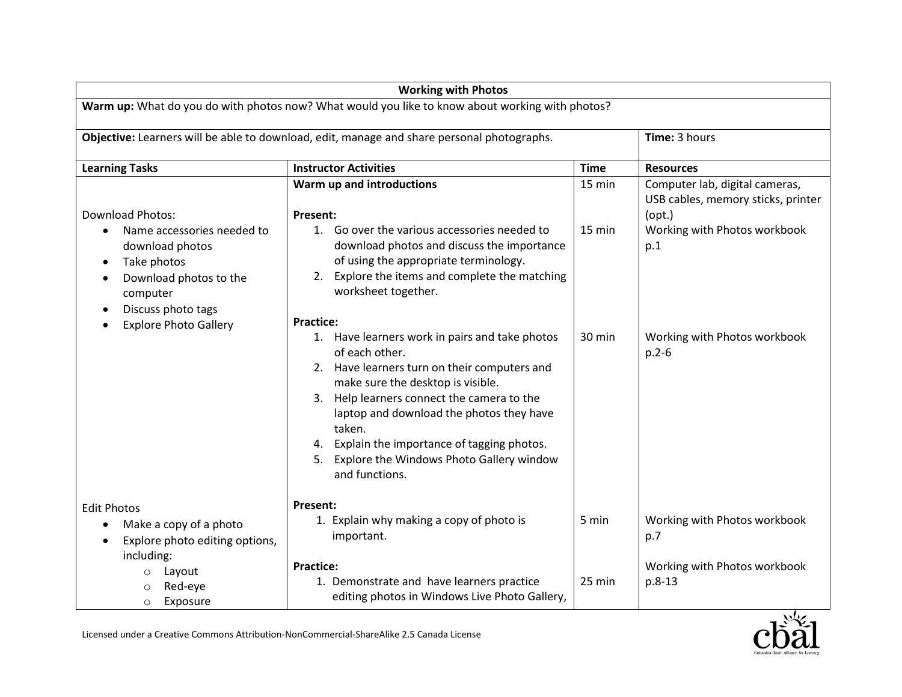| <b>Working with Photos</b>                                                                                                                                                                                    |                                                                                                                                                                                                                                                                                                                                                                                                                                                               |                  |                                                                                          |  |  |  |
|---------------------------------------------------------------------------------------------------------------------------------------------------------------------------------------------------------------|---------------------------------------------------------------------------------------------------------------------------------------------------------------------------------------------------------------------------------------------------------------------------------------------------------------------------------------------------------------------------------------------------------------------------------------------------------------|------------------|------------------------------------------------------------------------------------------|--|--|--|
| Warm up: What do you do with photos now? What would you like to know about working with photos?                                                                                                               |                                                                                                                                                                                                                                                                                                                                                                                                                                                               |                  |                                                                                          |  |  |  |
| Objective: Learners will be able to download, edit, manage and share personal photographs.                                                                                                                    |                                                                                                                                                                                                                                                                                                                                                                                                                                                               |                  | Time: 3 hours                                                                            |  |  |  |
| <b>Learning Tasks</b>                                                                                                                                                                                         | <b>Instructor Activities</b>                                                                                                                                                                                                                                                                                                                                                                                                                                  | <b>Time</b>      | <b>Resources</b>                                                                         |  |  |  |
|                                                                                                                                                                                                               | Warm up and introductions                                                                                                                                                                                                                                                                                                                                                                                                                                     | 15 min           | Computer lab, digital cameras,<br>USB cables, memory sticks, printer                     |  |  |  |
| <b>Download Photos:</b><br>Name accessories needed to<br>download photos<br>Take photos<br>$\bullet$<br>Download photos to the<br>$\bullet$<br>computer<br>Discuss photo tags<br><b>Explore Photo Gallery</b> | <b>Present:</b><br>1. Go over the various accessories needed to<br>download photos and discuss the importance<br>of using the appropriate terminology.<br>Explore the items and complete the matching<br>2.<br>worksheet together.<br><b>Practice:</b><br>1. Have learners work in pairs and take photos<br>of each other.<br>2. Have learners turn on their computers and<br>make sure the desktop is visible.<br>3. Help learners connect the camera to the | 15 min<br>30 min | (opt.)<br>Working with Photos workbook<br>p.1<br>Working with Photos workbook<br>$p.2-6$ |  |  |  |
|                                                                                                                                                                                                               | laptop and download the photos they have<br>taken.<br>Explain the importance of tagging photos.<br>4.<br>Explore the Windows Photo Gallery window<br>5.<br>and functions.<br><b>Present:</b>                                                                                                                                                                                                                                                                  |                  |                                                                                          |  |  |  |
| <b>Edit Photos</b><br>Make a copy of a photo<br>$\bullet$<br>Explore photo editing options,                                                                                                                   | 1. Explain why making a copy of photo is<br>important.                                                                                                                                                                                                                                                                                                                                                                                                        | 5 min            | Working with Photos workbook<br>p.7                                                      |  |  |  |
| including:<br>Layout<br>$\circ$<br>Red-eye<br>O<br>Exposure<br>$\circ$                                                                                                                                        | <b>Practice:</b><br>1. Demonstrate and have learners practice<br>editing photos in Windows Live Photo Gallery,                                                                                                                                                                                                                                                                                                                                                | 25 min           | Working with Photos workbook<br>$p.8-13$                                                 |  |  |  |

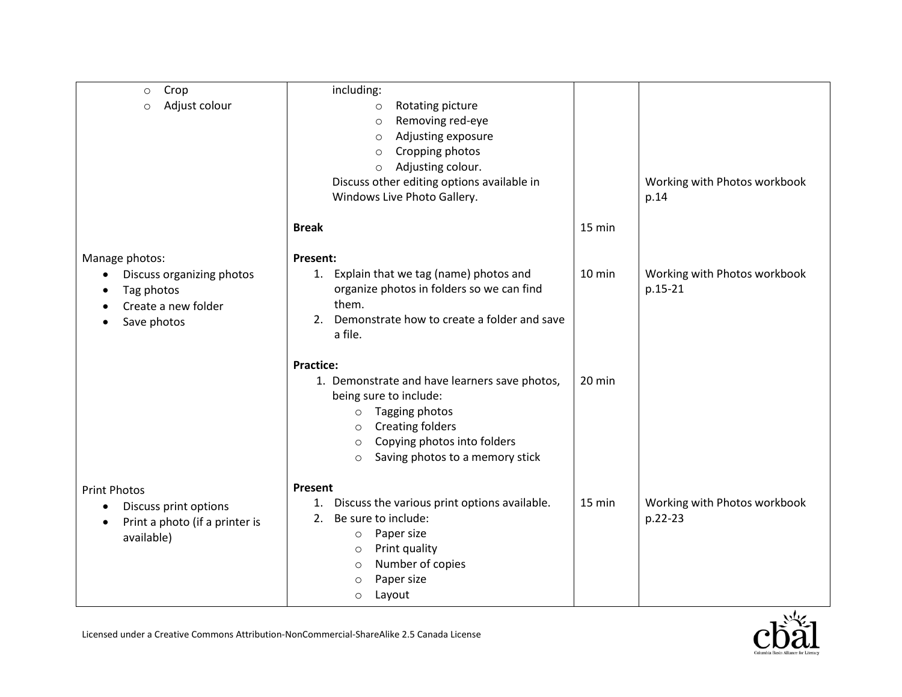| Crop<br>$\circ$                        | including:                                         |          |                              |
|----------------------------------------|----------------------------------------------------|----------|------------------------------|
| Adjust colour<br>$\circ$               | Rotating picture<br>$\circ$                        |          |                              |
|                                        | Removing red-eye<br>$\circ$                        |          |                              |
|                                        | Adjusting exposure<br>$\circ$                      |          |                              |
|                                        | Cropping photos<br>$\circ$                         |          |                              |
|                                        | Adjusting colour.<br>$\circ$                       |          |                              |
|                                        | Discuss other editing options available in         |          | Working with Photos workbook |
|                                        | Windows Live Photo Gallery.                        |          | p.14                         |
|                                        |                                                    |          |                              |
|                                        | <b>Break</b>                                       | 15 min   |                              |
| Manage photos:                         | Present:                                           |          |                              |
| Discuss organizing photos<br>$\bullet$ | 1. Explain that we tag (name) photos and           | 10 min   | Working with Photos workbook |
| Tag photos                             | organize photos in folders so we can find          |          | p.15-21                      |
| Create a new folder                    | them.                                              |          |                              |
| Save photos                            | Demonstrate how to create a folder and save<br>2.  |          |                              |
|                                        | a file.                                            |          |                              |
|                                        |                                                    |          |                              |
|                                        | <b>Practice:</b>                                   |          |                              |
|                                        | 1. Demonstrate and have learners save photos,      | $20$ min |                              |
|                                        | being sure to include:                             |          |                              |
|                                        | Tagging photos<br>$\circ$                          |          |                              |
|                                        | <b>Creating folders</b><br>$\circ$                 |          |                              |
|                                        | Copying photos into folders<br>$\circ$             |          |                              |
|                                        | Saving photos to a memory stick<br>$\circ$         |          |                              |
| <b>Print Photos</b>                    | Present                                            |          |                              |
|                                        | Discuss the various print options available.<br>1. | 15 min   | Working with Photos workbook |
| Discuss print options<br>$\bullet$     | Be sure to include:<br>2.                          |          | p.22-23                      |
| Print a photo (if a printer is<br>٠    | Paper size<br>$\circ$                              |          |                              |
| available)                             | Print quality<br>$\circ$                           |          |                              |
|                                        | Number of copies<br>$\circ$                        |          |                              |
|                                        | Paper size<br>$\circ$                              |          |                              |
|                                        | Layout<br>$\circ$                                  |          |                              |
|                                        |                                                    |          |                              |